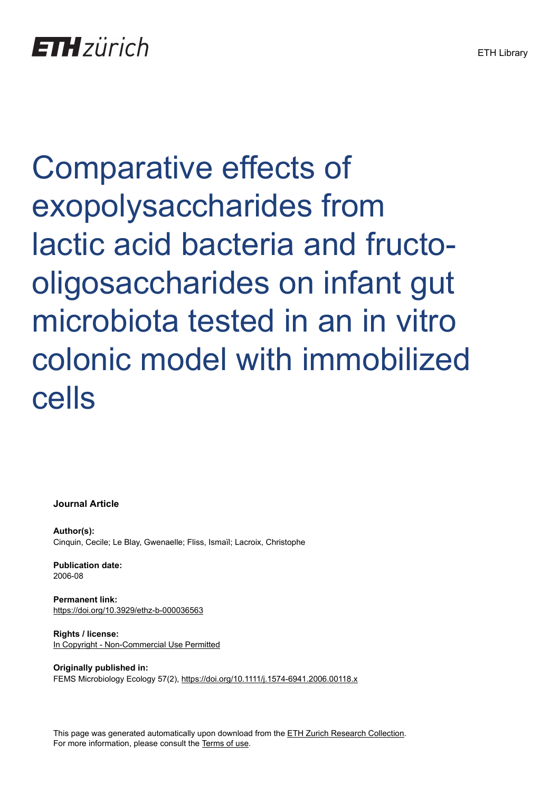Comparative effects of exopolysaccharides from lactic acid bacteria and fructooligosaccharides on infant gut microbiota tested in an in vitro colonic model with immobilized cells

**Journal Article**

**Author(s):** Cinquin, Cecile; Le Blay, Gwenaelle; Fliss, Ismaïl; Lacroix, Christophe

**Publication date:** 2006-08

**Permanent link:** <https://doi.org/10.3929/ethz-b-000036563>

**Rights / license:** [In Copyright - Non-Commercial Use Permitted](http://rightsstatements.org/page/InC-NC/1.0/)

**Originally published in:** FEMS Microbiology Ecology 57(2), <https://doi.org/10.1111/j.1574-6941.2006.00118.x>

This page was generated automatically upon download from the [ETH Zurich Research Collection.](https://www.research-collection.ethz.ch) For more information, please consult the [Terms of use](https://www.research-collection.ethz.ch/terms-of-use).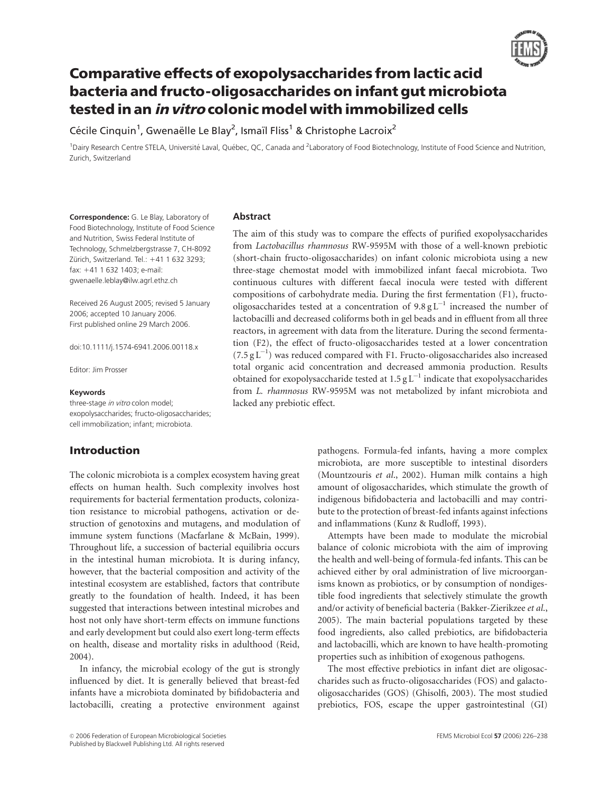

# Comparative effects of exopolysaccharides from lactic acid bacteria and fructo-oligosaccharides on infant gut microbiota tested in an in vitro colonic model with immobilized cells

Cécile Cinquin<sup>1</sup>, Gwenaëlle Le Blay<sup>2</sup>, Ismaïl Fliss<sup>1</sup> & Christophe Lacroix<sup>2</sup>

<sup>1</sup>Dairy Research Centre STELA, Université Laval, Québec, QC, Canada and <sup>2</sup>Laboratory of Food Biotechnology, Institute of Food Science and Nutrition, Zurich, Switzerland

Correspondence: G. Le Blay, Laboratory of Food Biotechnology, Institute of Food Science and Nutrition, Swiss Federal Institute of Technology, Schmelzbergstrasse 7, CH-8092 Zürich, Switzerland. Tel.: +41 1 632 3293; fax: 141 1 632 1403; e-mail: gwenaelle.leblay@ilw.agrl.ethz.ch

Received 26 August 2005; revised 5 January 2006; accepted 10 January 2006. First published online 29 March 2006.

doi:10.1111/j.1574-6941.2006.00118.x

Editor: Jim Prosser

#### Keywords

three-stage in vitro colon model; exopolysaccharides; fructo-oligosaccharides; cell immobilization; infant; microbiota.

# Introduction

The colonic microbiota is a complex ecosystem having great effects on human health. Such complexity involves host requirements for bacterial fermentation products, colonization resistance to microbial pathogens, activation or destruction of genotoxins and mutagens, and modulation of immune system functions (Macfarlane & McBain, 1999). Throughout life, a succession of bacterial equilibria occurs in the intestinal human microbiota. It is during infancy, however, that the bacterial composition and activity of the intestinal ecosystem are established, factors that contribute greatly to the foundation of health. Indeed, it has been suggested that interactions between intestinal microbes and host not only have short-term effects on immune functions and early development but could also exert long-term effects on health, disease and mortality risks in adulthood (Reid, 2004).

In infancy, the microbial ecology of the gut is strongly influenced by diet. It is generally believed that breast-fed infants have a microbiota dominated by bifidobacteria and lactobacilli, creating a protective environment against

#### Abstract

The aim of this study was to compare the effects of purified exopolysaccharides from Lactobacillus rhamnosus RW-9595M with those of a well-known prebiotic (short-chain fructo-oligosaccharides) on infant colonic microbiota using a new three-stage chemostat model with immobilized infant faecal microbiota. Two continuous cultures with different faecal inocula were tested with different compositions of carbohydrate media. During the first fermentation (F1), fructooligosaccharides tested at a concentration of  $9.8 \text{ g L}^{-1}$  increased the number of lactobacilli and decreased coliforms both in gel beads and in effluent from all three reactors, in agreement with data from the literature. During the second fermentation (F2), the effect of fructo-oligosaccharides tested at a lower concentration  $(7.5 \text{ g L}^{-1})$  was reduced compared with F1. Fructo-oligosaccharides also increased total organic acid concentration and decreased ammonia production. Results obtained for exopolysaccharide tested at  $1.5 \text{ g L}^{-1}$  indicate that exopolysaccharides from L. rhamnosus RW-9595M was not metabolized by infant microbiota and lacked any prebiotic effect.

> pathogens. Formula-fed infants, having a more complex microbiota, are more susceptible to intestinal disorders (Mountzouris et al., 2002). Human milk contains a high amount of oligosaccharides, which stimulate the growth of indigenous bifidobacteria and lactobacilli and may contribute to the protection of breast-fed infants against infections and inflammations (Kunz & Rudloff, 1993).

> Attempts have been made to modulate the microbial balance of colonic microbiota with the aim of improving the health and well-being of formula-fed infants. This can be achieved either by oral administration of live microorganisms known as probiotics, or by consumption of nondigestible food ingredients that selectively stimulate the growth and/or activity of beneficial bacteria (Bakker-Zierikzee et al., 2005). The main bacterial populations targeted by these food ingredients, also called prebiotics, are bifidobacteria and lactobacilli, which are known to have health-promoting properties such as inhibition of exogenous pathogens.

> The most effective prebiotics in infant diet are oligosaccharides such as fructo-oligosaccharides (FOS) and galactooligosaccharides (GOS) (Ghisolfi, 2003). The most studied prebiotics, FOS, escape the upper gastrointestinal (GI)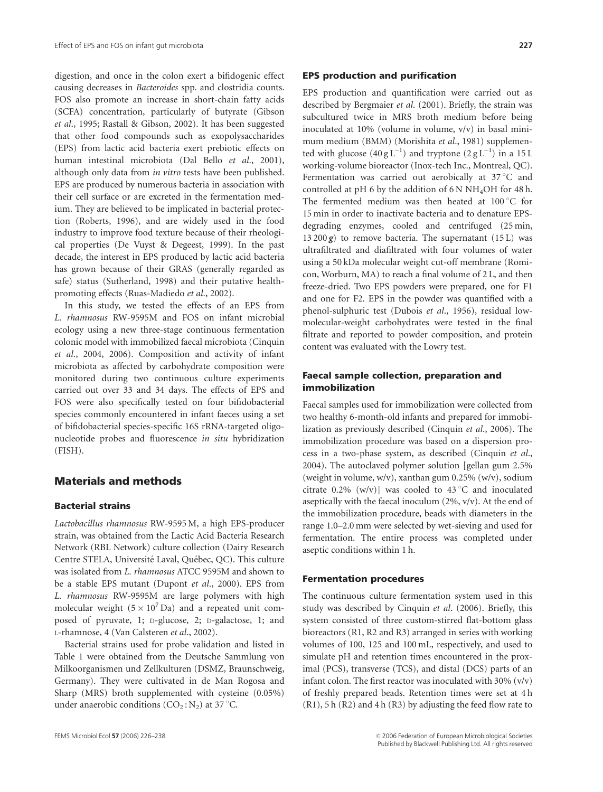digestion, and once in the colon exert a bifidogenic effect causing decreases in Bacteroides spp. and clostridia counts. FOS also promote an increase in short-chain fatty acids (SCFA) concentration, particularly of butyrate (Gibson et al., 1995; Rastall & Gibson, 2002). It has been suggested that other food compounds such as exopolysaccharides (EPS) from lactic acid bacteria exert prebiotic effects on human intestinal microbiota (Dal Bello et al., 2001), although only data from in vitro tests have been published. EPS are produced by numerous bacteria in association with their cell surface or are excreted in the fermentation medium. They are believed to be implicated in bacterial protection (Roberts, 1996), and are widely used in the food industry to improve food texture because of their rheological properties (De Vuyst & Degeest, 1999). In the past decade, the interest in EPS produced by lactic acid bacteria has grown because of their GRAS (generally regarded as safe) status (Sutherland, 1998) and their putative healthpromoting effects (Ruas-Madiedo et al., 2002).

In this study, we tested the effects of an EPS from L. rhamnosus RW-9595M and FOS on infant microbial ecology using a new three-stage continuous fermentation colonic model with immobilized faecal microbiota (Cinquin et al., 2004, 2006). Composition and activity of infant microbiota as affected by carbohydrate composition were monitored during two continuous culture experiments carried out over 33 and 34 days. The effects of EPS and FOS were also specifically tested on four bifidobacterial species commonly encountered in infant faeces using a set of bifidobacterial species-specific 16S rRNA-targeted oligonucleotide probes and fluorescence in situ hybridization (FISH).

# Materials and methods

#### Bacterial strains

Lactobacillus rhamnosus RW-9595 M, a high EPS-producer strain, was obtained from the Lactic Acid Bacteria Research Network (RBL Network) culture collection (Dairy Research Centre STELA, Université Laval, Ouébec, OC). This culture was isolated from L. rhamnosus ATCC 9595M and shown to be a stable EPS mutant (Dupont et al., 2000). EPS from L. rhamnosus RW-9595M are large polymers with high molecular weight  $(5 \times 10^7 \text{ Da})$  and a repeated unit composed of pyruvate, 1; D-glucose, 2; D-galactose, 1; and L-rhamnose, 4 (Van Calsteren et al., 2002).

Bacterial strains used for probe validation and listed in Table 1 were obtained from the Deutsche Sammlung von Milkoorganismen und Zellkulturen (DSMZ, Braunschweig, Germany). They were cultivated in de Man Rogosa and Sharp (MRS) broth supplemented with cysteine (0.05%) under anaerobic conditions ( $CO_2$ : N<sub>2</sub>) at 37 °C.

#### EPS production and purification

EPS production and quantification were carried out as described by Bergmaier et al. (2001). Briefly, the strain was subcultured twice in MRS broth medium before being inoculated at 10% (volume in volume, v/v) in basal minimum medium (BMM) (Morishita et al., 1981) supplemented with glucose  $(40 g L^{-1})$  and tryptone  $(2 g L^{-1})$  in a 15 L working-volume bioreactor (Inox-tech Inc., Montreal, QC). Fermentation was carried out aerobically at 37 °C and controlled at pH 6 by the addition of  $6N NH<sub>4</sub>OH$  for 48 h. The fermented medium was then heated at  $100^{\circ}$ C for 15 min in order to inactivate bacteria and to denature EPSdegrading enzymes, cooled and centrifuged (25 min, 13 200 $g$ ) to remove bacteria. The supernatant (15 L) was ultrafiltrated and diafiltrated with four volumes of water using a 50 kDa molecular weight cut-off membrane (Romicon, Worburn, MA) to reach a final volume of 2 L, and then freeze-dried. Two EPS powders were prepared, one for F1 and one for F2. EPS in the powder was quantified with a phenol-sulphuric test (Dubois et al., 1956), residual lowmolecular-weight carbohydrates were tested in the final filtrate and reported to powder composition, and protein content was evaluated with the Lowry test.

# Faecal sample collection, preparation and immobilization

Faecal samples used for immobilization were collected from two healthy 6-month-old infants and prepared for immobilization as previously described (Cinquin et al., 2006). The immobilization procedure was based on a dispersion process in a two-phase system, as described (Cinquin et al., 2004). The autoclaved polymer solution [gellan gum 2.5% (weight in volume, w/v), xanthan gum 0.25% (w/v), sodium citrate 0.2% (w/v)] was cooled to 43 °C and inoculated aseptically with the faecal inoculum  $(2\%, v/v)$ . At the end of the immobilization procedure, beads with diameters in the range 1.0–2.0 mm were selected by wet-sieving and used for fermentation. The entire process was completed under aseptic conditions within 1 h.

#### Fermentation procedures

The continuous culture fermentation system used in this study was described by Cinquin et al. (2006). Briefly, this system consisted of three custom-stirred flat-bottom glass bioreactors (R1, R2 and R3) arranged in series with working volumes of 100, 125 and 100 mL, respectively, and used to simulate pH and retention times encountered in the proximal (PCS), transverse (TCS), and distal (DCS) parts of an infant colon. The first reactor was inoculated with 30%  $(v/v)$ of freshly prepared beads. Retention times were set at 4 h (R1), 5 h (R2) and 4 h (R3) by adjusting the feed flow rate to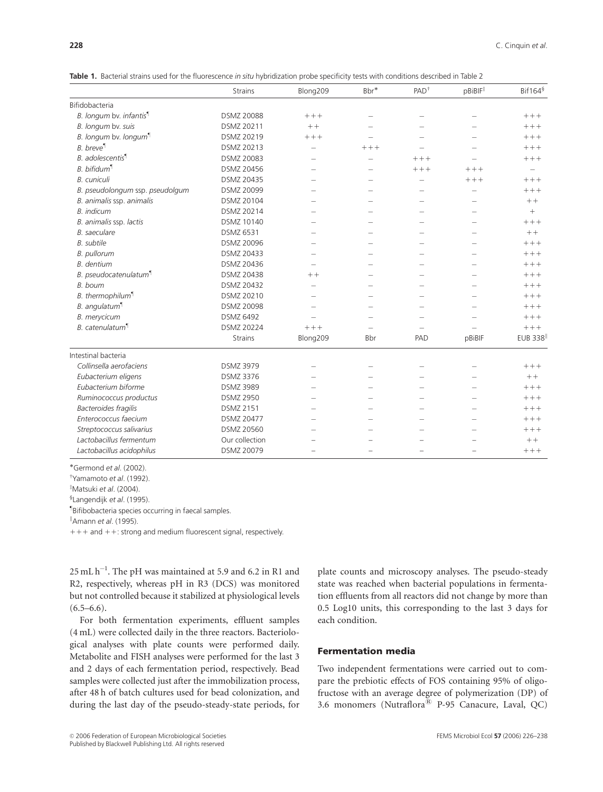Table 1. Bacterial strains used for the fluorescence in situ hybridization probe specificity tests with conditions described in Table 2

|                                     | <b>Strains</b>    | Blong209                 | Bbr*                     | $PAD^{\dagger}$          | pBiBIF <sup>‡</sup>      | $Bif164^{\S}$  |
|-------------------------------------|-------------------|--------------------------|--------------------------|--------------------------|--------------------------|----------------|
| Bifidobacteria                      |                   |                          |                          |                          |                          |                |
| B. longum by. infantis <sup>¶</sup> | <b>DSMZ 20088</b> | $+++$                    | $\overline{\phantom{0}}$ | -                        |                          | $+++$          |
| B. longum bv. suis                  | DSMZ 20211        | $++$                     |                          |                          |                          | $+++$          |
| B. longum bv. longum                | DSMZ 20219        | $+++$                    |                          |                          |                          | $++++$         |
| <b>B.</b> breve <sup>¶</sup>        | DSMZ 20213        | $\overline{\phantom{a}}$ | $+++$                    |                          |                          | $+++$          |
| B. adolescentis <sup>¶</sup>        | DSMZ 20083        |                          |                          | $++++$                   |                          | $++++$         |
| $B.$ bifidum $\P$                   | DSMZ 20456        | $\overline{\phantom{a}}$ | $\overline{\phantom{0}}$ | $++++$                   | $+++$                    |                |
| <b>B.</b> cuniculi                  | DSMZ 20435        | $\overline{\phantom{a}}$ | $\overline{\phantom{a}}$ | $\overline{\phantom{0}}$ | $+++$                    | $++++$         |
| B. pseudolongum ssp. pseudolgum     | DSMZ 20099        |                          |                          |                          |                          | $+++$          |
| B. animalis ssp. animalis           | DSMZ 20104        |                          |                          | -                        | $\overline{\phantom{a}}$ | $++$           |
| <b>B.</b> indicum                   | DSMZ 20214        |                          |                          |                          |                          |                |
| B. animalis ssp. lactis             | DSMZ 10140        | $\overline{\phantom{a}}$ |                          |                          |                          | $++++$         |
| <b>B.</b> saeculare                 | <b>DSMZ 6531</b>  | $\overline{\phantom{a}}$ | $\overline{\phantom{a}}$ | -                        | $\overline{\phantom{a}}$ | $++$           |
| <b>B.</b> subtile                   | DSMZ 20096        |                          |                          |                          |                          | $++++$         |
| <b>B.</b> pullorum                  | DSMZ 20433        | $\overline{\phantom{a}}$ | $\overline{\phantom{a}}$ | ÷                        | $\overline{\phantom{a}}$ | $+++$          |
| <b>B.</b> dentium                   | DSMZ 20436        |                          |                          |                          |                          | $++++$         |
| B. pseudocatenulatum <sup>1</sup>   | DSMZ 20438        | $++$                     |                          |                          |                          | $++++$         |
| B. boum                             | DSMZ 20432        | $\sim$                   | $\overline{\phantom{a}}$ | -                        |                          | $++++$         |
| B. thermophilum <sup>1</sup>        | DSMZ 20210        |                          |                          |                          |                          | $++++$         |
| B. angulatum <sup>¶</sup>           | DSMZ 20098        |                          |                          |                          |                          | $+++$          |
| <b>B.</b> merycicum                 | <b>DSMZ 6492</b>  |                          |                          |                          |                          | $+++$          |
| B. catenulatum <sup>¶</sup>         | <b>DSMZ 20224</b> | $+++$                    |                          |                          |                          | $++++$         |
|                                     | <b>Strains</b>    | Blong209                 | Bbr                      | PAD                      | pBiBIF                   | <b>EUB 338</b> |
| Intestinal bacteria                 |                   |                          |                          |                          |                          |                |
| Collinsella aerofaciens             | <b>DSMZ 3979</b>  | $\overline{\phantom{0}}$ | $\overline{\phantom{0}}$ | -                        |                          | $+++$          |
| Eubacterium eligens                 | <b>DSMZ 3376</b>  |                          |                          |                          |                          | $++$           |
| Eubacterium biforme                 | <b>DSMZ 3989</b>  |                          |                          |                          |                          | $++++$         |
| Ruminococcus productus              | <b>DSMZ 2950</b>  |                          |                          |                          |                          | $+++$          |
| Bacteroides fragilis                | <b>DSMZ 2151</b>  |                          |                          |                          |                          | $++++$         |
| Enterococcus faecium                | <b>DSMZ 20477</b> |                          |                          |                          |                          | $++++$         |
| Streptococcus salivarius            | DSMZ 20560        |                          |                          |                          |                          | $++++$         |
| Lactobacillus fermentum             | Our collection    |                          |                          |                          |                          | $++$           |
| Lactobacillus acidophilus           | DSMZ 20079        |                          |                          |                          |                          | $+++$          |

Germond et al. (2002).

<sup>T</sup>Yamamoto *et al.* (1992).

<sup>‡</sup>Matsuki et al. (2004).

§Langendijk et al. (1995).

z Bifibobacteria species occurring in faecal samples.

"Amann et al. (1995).

 $11111 + 11111 + 11111$  and  $111111 + 111111$  and  $1111111 + 1111111$  and  $1111111$  and  $1111111$  and  $111111111$  and  $11111111111111$ 

 $25 \text{ mL h}^{-1}$ . The pH was maintained at 5.9 and 6.2 in R1 and R2, respectively, whereas pH in R3 (DCS) was monitored but not controlled because it stabilized at physiological levels  $(6.5–6.6)$ .

For both fermentation experiments, effluent samples (4 mL) were collected daily in the three reactors. Bacteriological analyses with plate counts were performed daily. Metabolite and FISH analyses were performed for the last 3 and 2 days of each fermentation period, respectively. Bead samples were collected just after the immobilization process, after 48 h of batch cultures used for bead colonization, and during the last day of the pseudo-steady-state periods, for plate counts and microscopy analyses. The pseudo-steady state was reached when bacterial populations in fermentation effluents from all reactors did not change by more than 0.5 Log10 units, this corresponding to the last 3 days for each condition.

#### Fermentation media

Two independent fermentations were carried out to compare the prebiotic effects of FOS containing 95% of oligofructose with an average degree of polymerization (DP) of 3.6 monomers (Nutraflora $\overset{\circ}{\mathbb{B}}$  P-95 Canacure, Laval, QC)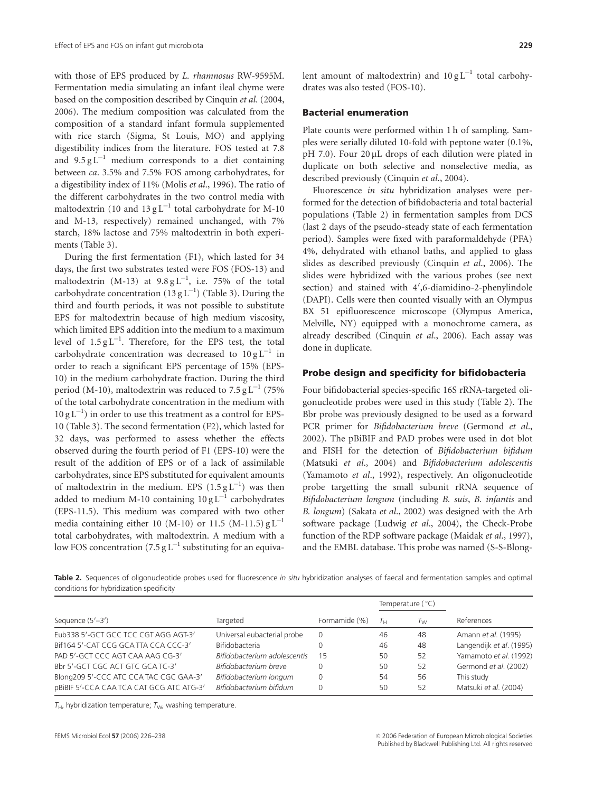with those of EPS produced by L. rhamnosus RW-9595M. Fermentation media simulating an infant ileal chyme were based on the composition described by Cinquin et al. (2004, 2006). The medium composition was calculated from the composition of a standard infant formula supplemented with rice starch (Sigma, St Louis, MO) and applying digestibility indices from the literature. FOS tested at 7.8 and  $9.5 \text{ g L}^{-1}$  medium corresponds to a diet containing between ca. 3.5% and 7.5% FOS among carbohydrates, for a digestibility index of 11% (Molis et al., 1996). The ratio of the different carbohydrates in the two control media with maltodextrin (10 and  $13 \text{ g L}^{-1}$  total carbohydrate for M-10 and M-13, respectively) remained unchanged, with 7% starch, 18% lactose and 75% maltodextrin in both experiments (Table 3).

During the first fermentation (F1), which lasted for 34 days, the first two substrates tested were FOS (FOS-13) and maltodextrin (M-13) at  $9.8 \text{ g L}^{-1}$ , i.e. 75% of the total carbohydrate concentration (13  $gL^{-1}$ ) (Table 3). During the third and fourth periods, it was not possible to substitute EPS for maltodextrin because of high medium viscosity, which limited EPS addition into the medium to a maximum level of  $1.5\,\mathrm{g\,L}^{-1}$ . Therefore, for the EPS test, the total carbohydrate concentration was decreased to  $10 g L^{-1}$  in order to reach a significant EPS percentage of 15% (EPS-10) in the medium carbohydrate fraction. During the third period (M-10), maltodextrin was reduced to  $7.5 \text{ g L}^{-1}$  (75%) of the total carbohydrate concentration in the medium with  $10 \text{ g L}^{-1}$ ) in order to use this treatment as a control for EPS-10 (Table 3). The second fermentation (F2), which lasted for 32 days, was performed to assess whether the effects observed during the fourth period of F1 (EPS-10) were the result of the addition of EPS or of a lack of assimilable carbohydrates, since EPS substituted for equivalent amounts of maltodextrin in the medium. EPS  $(1.5 \text{ g L}^{-1})$  was then added to medium M-10 containing  $10 \text{ g L}^{-1}$  carbohydrates (EPS-11.5). This medium was compared with two other media containing either 10 (M-10) or 11.5 (M-11.5)  $gL^{-1}$ total carbohydrates, with maltodextrin. A medium with a low FOS concentration (7.5 g  $L^{-1}$  substituting for an equivalent amount of maltodextrin) and  $10 \text{ g L}^{-1}$  total carbohydrates was also tested (FOS-10).

#### Bacterial enumeration

Plate counts were performed within 1 h of sampling. Samples were serially diluted 10-fold with peptone water (0.1%,  $pH$  7.0). Four 20  $\mu$ L drops of each dilution were plated in duplicate on both selective and nonselective media, as described previously (Cinquin et al., 2004).

Fluorescence in situ hybridization analyses were performed for the detection of bifidobacteria and total bacterial populations (Table 2) in fermentation samples from DCS (last 2 days of the pseudo-steady state of each fermentation period). Samples were fixed with paraformaldehyde (PFA) 4%, dehydrated with ethanol baths, and applied to glass slides as described previously (Cinquin et al., 2006). The slides were hybridized with the various probes (see next section) and stained with 4',6-diamidino-2-phenylindole (DAPI). Cells were then counted visually with an Olympus BX 51 epifluorescence microscope (Olympus America, Melville, NY) equipped with a monochrome camera, as already described (Cinquin et al., 2006). Each assay was done in duplicate.

#### Probe design and specificity for bifidobacteria

Four bifidobacterial species-specific 16S rRNA-targeted oligonucleotide probes were used in this study (Table 2). The Bbr probe was previously designed to be used as a forward PCR primer for Bifidobacterium breve (Germond et al., 2002). The pBiBIF and PAD probes were used in dot blot and FISH for the detection of Bifidobacterium bifidum (Matsuki et al., 2004) and Bifidobacterium adolescentis (Yamamoto et al., 1992), respectively. An oligonucleotide probe targetting the small subunit rRNA sequence of Bifidobacterium longum (including B. suis, B. infantis and B. longum) (Sakata et al., 2002) was designed with the Arb software package (Ludwig et al., 2004), the Check-Probe function of the RDP software package (Maidak et al., 1997), and the EMBL database. This probe was named (S-S-Blong-

Table 2. Sequences of oligonucleotide probes used for fluorescence in situ hybridization analyses of faecal and fermentation samples and optimal conditions for hybridization specificity

|                                          |                              |               |             | Temperature $(°C)$ |                          |  |
|------------------------------------------|------------------------------|---------------|-------------|--------------------|--------------------------|--|
| Sequence $(5'-3')$                       | Targeted                     | Formamide (%) | $T_{\rm H}$ | $T_{\rm W}$        | References               |  |
| Eub338 5'-GCT GCC TCC CGT AGG AGT-3'     | Universal eubacterial probe  | $\Omega$      | 46          | 48                 | Amann et al. (1995)      |  |
| Bif164 5'-CAT CCG GCA TTA CCA CCC-3'     | Bifidobacteria               |               | 46          | 48                 | Langendijk et al. (1995) |  |
| PAD 5'-GCT CCC AGT CAA AAG CG-3'         | Bifidobacterium adolescentis | -15           | 50          | 52                 | Yamamoto et al. (1992)   |  |
| Bbr 5'-GCT CGC ACT GTC GCA TC-3'         | Bifidobacterium breve        |               | 50          | 52                 | Germond et al. (2002)    |  |
| Blong209 5'-CCC ATC CCA TAC CGC GAA-3'   | Bifidobacterium longum       | $\Omega$      | 54          | 56                 | This study               |  |
| pBiBIF 5'-CCA CAA TCA CAT GCG ATC ATG-3' | Bifidobacterium bifidum      |               | 50          | 52                 | Matsuki et al. (2004)    |  |

 $T_{H}$ , hybridization temperature;  $T_{W}$ , washing temperature.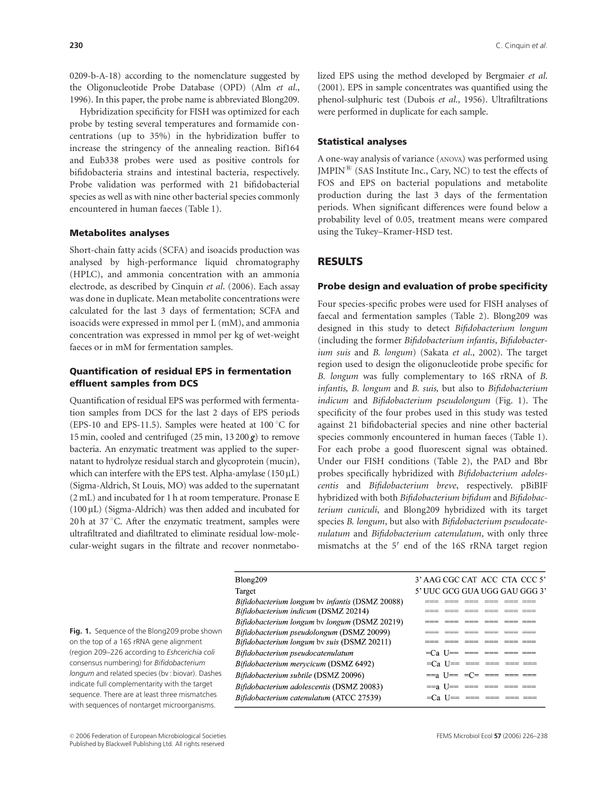0209-b-A-18) according to the nomenclature suggested by the Oligonucleotide Probe Database (OPD) (Alm et al., 1996). In this paper, the probe name is abbreviated Blong209.

Hybridization specificity for FISH was optimized for each probe by testing several temperatures and formamide concentrations (up to 35%) in the hybridization buffer to increase the stringency of the annealing reaction. Bif164 and Eub338 probes were used as positive controls for bifidobacteria strains and intestinal bacteria, respectively. Probe validation was performed with 21 bifidobacterial species as well as with nine other bacterial species commonly encountered in human faeces (Table 1).

### Metabolites analyses

Short-chain fatty acids (SCFA) and isoacids production was analysed by high-performance liquid chromatography (HPLC), and ammonia concentration with an ammonia electrode, as described by Cinquin et al. (2006). Each assay was done in duplicate. Mean metabolite concentrations were calculated for the last 3 days of fermentation; SCFA and isoacids were expressed in mmol per L (mM), and ammonia concentration was expressed in mmol per kg of wet-weight faeces or in mM for fermentation samples.

## Quantification of residual EPS in fermentation effluent samples from DCS

Quantification of residual EPS was performed with fermentation samples from DCS for the last 2 days of EPS periods (EPS-10 and EPS-11.5). Samples were heated at  $100^{\circ}$ C for 15 min, cooled and centrifuged (25 min,  $13200 \, g$ ) to remove bacteria. An enzymatic treatment was applied to the supernatant to hydrolyze residual starch and glycoprotein (mucin), which can interfere with the EPS test. Alpha-amylase  $(150 \,\mu L)$ (Sigma-Aldrich, St Louis, MO) was added to the supernatant (2 mL) and incubated for 1 h at room temperature. Pronase E  $(100 \,\mu L)$  (Sigma-Aldrich) was then added and incubated for 20 h at  $37^{\circ}$ C. After the enzymatic treatment, samples were ultrafiltrated and diafiltrated to eliminate residual low-molecular-weight sugars in the filtrate and recover nonmetabolized EPS using the method developed by Bergmaier et al. (2001). EPS in sample concentrates was quantified using the phenol-sulphuric test (Dubois et al., 1956). Ultrafiltrations were performed in duplicate for each sample.

#### Statistical analyses

A one-way analysis of variance (ANOVA) was performed using  $JMPIN^{\circledR}$  (SAS Institute Inc., Cary, NC) to test the effects of FOS and EPS on bacterial populations and metabolite production during the last 3 days of the fermentation periods. When significant differences were found below a probability level of 0.05, treatment means were compared using the Tukey–Kramer-HSD test.

# RESULTS

#### Probe design and evaluation of probe specificity

Four species-specific probes were used for FISH analyses of faecal and fermentation samples (Table 2). Blong209 was designed in this study to detect Bifidobacterium longum (including the former Bifidobacterium infantis, Bifidobacterium suis and B. longum) (Sakata et al., 2002). The target region used to design the oligonucleotide probe specific for B. longum was fully complementary to 16S rRNA of B. infantis, B. longum and B. suis, but also to Bifidobacterium indicum and Bifidobacterium pseudolongum (Fig. 1). The specificity of the four probes used in this study was tested against 21 bifidobacterial species and nine other bacterial species commonly encountered in human faeces (Table 1). For each probe a good fluorescent signal was obtained. Under our FISH conditions (Table 2), the PAD and Bbr probes specifically hybridized with Bifidobacterium adolescentis and Bifidobacterium breve, respectively. pBiBIF hybridized with both Bifidobacterium bifidum and Bifidobacterium cuniculi, and Blong209 hybridized with its target species B. longum, but also with Bifidobacterium pseudocatenulatum and Bifidobacterium catenulatum, with only three mismatchs at the  $5'$  end of the 16S rRNA target region

|                     | Blong209                                        | 3' AAG CGC CAT ACC CTA CCC 5'                                                                                                                                                                                                                                                                                                                                                                                                                                                                                                   |
|---------------------|-------------------------------------------------|---------------------------------------------------------------------------------------------------------------------------------------------------------------------------------------------------------------------------------------------------------------------------------------------------------------------------------------------------------------------------------------------------------------------------------------------------------------------------------------------------------------------------------|
|                     | Target                                          | 5' UUC GCG GUA UGG GAU GGG 3'                                                                                                                                                                                                                                                                                                                                                                                                                                                                                                   |
|                     | Bifidobacterium longum by infantis (DSMZ 20088) |                                                                                                                                                                                                                                                                                                                                                                                                                                                                                                                                 |
|                     | Bifidobacterium indicum (DSMZ 20214)            |                                                                                                                                                                                                                                                                                                                                                                                                                                                                                                                                 |
|                     | Bifidobacterium longum by longum (DSMZ 20219)   |                                                                                                                                                                                                                                                                                                                                                                                                                                                                                                                                 |
| be shown            | Bifidobacterium pseudolongum (DSMZ 20099)       |                                                                                                                                                                                                                                                                                                                                                                                                                                                                                                                                 |
| nent                | Bifidobacterium longum by suis (DSMZ 20211)     |                                                                                                                                                                                                                                                                                                                                                                                                                                                                                                                                 |
| chia coli           | Bifidobacterium pseudocatenulatum               | $=$ Ca U $=$<br>$\begin{tabular}{ll} \multicolumn{2}{l}{{\color{red}m}}{\color{green}m} & \multicolumn{2}{l}{\color{green}m} {\color{green}m} \\ \multicolumn{2}{l}{\color{green}m} & \multicolumn{2}{l}{\color{green}m} {\color{green}m} \\ \multicolumn{2}{l}{\color{green}m} & \multicolumn{2}{l}{\color{green}m} {\color{green}m} \\ \multicolumn{2}{l}{\color{green}m} & \multicolumn{2}{l}{\color{green}m} \\ \multicolumn{2}{l}{\color{green}m} & \multicolumn{2}{l}{\color{green}m} \\ \multicolumn{2}{l}{\color{green$ |
| erium               | Bifidobacterium merycicum (DSMZ 6492)           | $=Ca$ U = = = = = = = =                                                                                                                                                                                                                                                                                                                                                                                                                                                                                                         |
| ar). Dashes         | Bifidobacterium subtile (DSMZ 20096)            | $==a$ U== $=C=$ === ==                                                                                                                                                                                                                                                                                                                                                                                                                                                                                                          |
| e target            | Bifidobacterium adolescentis (DSMZ 20083)       | $==a$ $I ==$<br>________                                                                                                                                                                                                                                                                                                                                                                                                                                                                                                        |
| matches<br>ganisms. | Bifidobacterium catenulatum (ATCC 27539)        | =Call== === === ==                                                                                                                                                                                                                                                                                                                                                                                                                                                                                                              |
|                     |                                                 |                                                                                                                                                                                                                                                                                                                                                                                                                                                                                                                                 |

Fig. 1. Sequence of the Blong209 pro on the top of a 16S rRNA gene alignm (region 209–226 according to Eshceri consensus numbering) for Bifidobacte longum and related species (by : biovar indicate full complementarity with the sequence. There are at least three mis with sequences of nontarget microor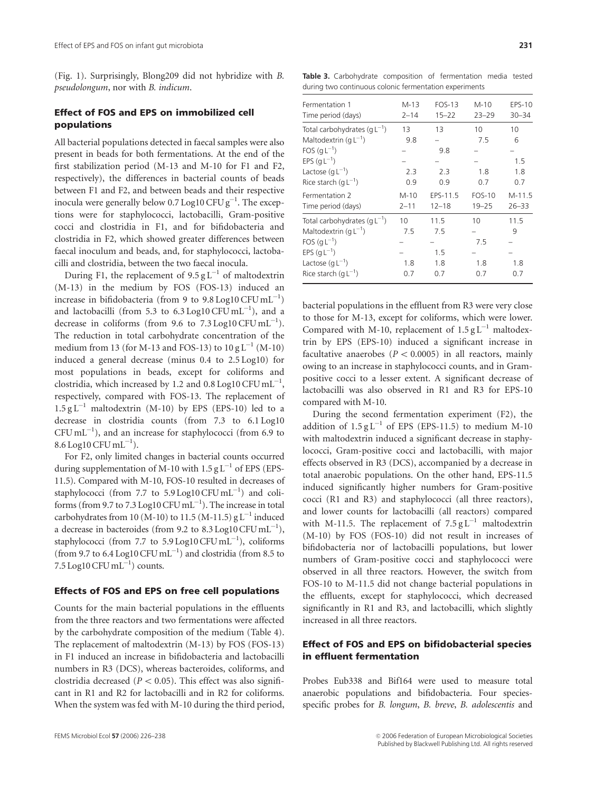(Fig. 1). Surprisingly, Blong209 did not hybridize with B. pseudolongum, nor with B. indicum.

# Effect of FOS and EPS on immobilized cell populations

All bacterial populations detected in faecal samples were also present in beads for both fermentations. At the end of the first stabilization period (M-13 and M-10 for F1 and F2, respectively), the differences in bacterial counts of beads between F1 and F2, and between beads and their respective inocula were generally below 0.7  $\rm Log10\, CFU\, g^{-1}.$  The exceptions were for staphylococci, lactobacilli, Gram-positive cocci and clostridia in F1, and for bifidobacteria and clostridia in F2, which showed greater differences between faecal inoculum and beads, and, for staphylococci, lactobacilli and clostridia, between the two faecal inocula.

During F1, the replacement of  $9.5 \text{ g L}^{-1}$  of maltodextrin (M-13) in the medium by FOS (FOS-13) induced an increase in bifidobacteria (from 9 to  $9.8 \text{ Log}10 \text{ CFU} \text{ mL}^{-1}$ ) and lactobacilli (from 5.3 to  $6.3 \text{Log}10 \text{ CFU} \text{mL}^{-1}$ ), and a decrease in coliforms (from 9.6 to  $7.3 \text{Log}10 \text{ CFU} \text{mL}^{-1}$ ). The reduction in total carbohydrate concentration of the medium from 13 (for M-13 and FOS-13) to  $10 \text{ g L}^{-1}$  (M-10) induced a general decrease (minus 0.4 to 2.5 Log10) for most populations in beads, except for coliforms and clostridia, which increased by 1.2 and 0.8 Log10 CFU  $\mathrm{mL}^{-1},$ respectively, compared with FOS-13. The replacement of  $1.5 \text{ g L}^{-1}$  maltodextrin (M-10) by EPS (EPS-10) led to a decrease in clostridia counts (from 7.3 to 6.1 Log10  $CFU \, mL^{-1}$ ), and an increase for staphylococci (from 6.9 to  $8.6 \text{ Log}10 \text{ CFU} \text{ mL}^{-1}$ ).

For F2, only limited changes in bacterial counts occurred during supplementation of M-10 with  $1.5 \text{ g L}^{-1}$  of EPS (EPS-11.5). Compared with M-10, FOS-10 resulted in decreases of staphylococci (from 7.7 to  $5.9 \text{Log}10 \text{ CFU} \text{mL}^{-1}$ ) and coliforms (from 9.7 to 7.3  $\rm Log10\, CFU\,mL^{-1})$ ). The increase in total carbohydrates from 10 (M-10) to 11.5 (M-11.5)  $gL^{-1}$  induced a decrease in bacteroides (from 9.2 to 8.3 Log10  $CFU$  mL $^{-1}$ ), staphylococci (from 7.7 to 5.9 Log10 CFU  $mL^{-1}$ ), coliforms (from 9.7 to 6.4 Log10  $CFU$  mL<sup>-1</sup>) and clostridia (from 8.5 to 7.5 Log10 CFU mL $^{-1}$ ) counts.

#### Effects of FOS and EPS on free cell populations

Counts for the main bacterial populations in the effluents from the three reactors and two fermentations were affected by the carbohydrate composition of the medium (Table 4). The replacement of maltodextrin (M-13) by FOS (FOS-13) in F1 induced an increase in bifidobacteria and lactobacilli numbers in R3 (DCS), whereas bacteroides, coliforms, and clostridia decreased ( $P < 0.05$ ). This effect was also significant in R1 and R2 for lactobacilli and in R2 for coliforms. When the system was fed with M-10 during the third period,

Table 3. Carbohydrate composition of fermentation media tested during two continuous colonic fermentation experiments

| Fermentation 1<br>Time period (days)                                                                                                                  | $M-13$<br>$2 - 14$      | <b>FOS-13</b><br>$15 - 22$       | $M-10$<br>$23 - 29$        | <b>EPS-10</b><br>$30 - 34$   |
|-------------------------------------------------------------------------------------------------------------------------------------------------------|-------------------------|----------------------------------|----------------------------|------------------------------|
| Total carbohydrates $(qL^{-1})$<br>Maltodextrin $(qL^{-1})$<br>FOS $(qL^{-1})$<br>EPS $(qL^{-1})$<br>Lactose $(g L^{-1})$<br>Rice starch $(qL^{-1})$  | 13<br>9.8<br>2.3<br>0.9 | 13<br>9.8<br>2.3<br>0.9          | 10<br>7.5<br>1.8<br>0.7    | 10<br>6<br>1.5<br>1.8<br>0.7 |
| Fermentation 2<br>Time period (days)                                                                                                                  | $M-10$<br>$2 - 11$      | EPS-11.5<br>$12 - 18$            | <b>FOS-10</b><br>$19 - 25$ | $M-11.5$<br>$26 - 33$        |
| Total carbohydrates $(g L^{-1})$<br>Maltodextrin $(qL^{-1})$<br>FOS $(qL^{-1})$<br>EPS $(qL^{-1})$<br>Lactose $(g L^{-1})$<br>Rice starch $(qL^{-1})$ | 10<br>7.5<br>1.8<br>0.7 | 11.5<br>7.5<br>1.5<br>1.8<br>0.7 | 10<br>7.5<br>1.8<br>0.7    | 11.5<br>9<br>1.8<br>0.7      |

bacterial populations in the effluent from R3 were very close to those for M-13, except for coliforms, which were lower. Compared with M-10, replacement of  $1.5 \text{ g L}^{-1}$  maltodextrin by EPS (EPS-10) induced a significant increase in facultative anaerobes ( $P < 0.0005$ ) in all reactors, mainly owing to an increase in staphylococci counts, and in Grampositive cocci to a lesser extent. A significant decrease of lactobacilli was also observed in R1 and R3 for EPS-10 compared with M-10.

During the second fermentation experiment (F2), the addition of  $1.5 \text{ g L}^{-1}$  of EPS (EPS-11.5) to medium M-10 with maltodextrin induced a significant decrease in staphylococci, Gram-positive cocci and lactobacilli, with major effects observed in R3 (DCS), accompanied by a decrease in total anaerobic populations. On the other hand, EPS-11.5 induced significantly higher numbers for Gram-positive cocci (R1 and R3) and staphylococci (all three reactors), and lower counts for lactobacilli (all reactors) compared with M-11.5. The replacement of  $7.5 \text{ g L}^{-1}$  maltodextrin (M-10) by FOS (FOS-10) did not result in increases of bifidobacteria nor of lactobacilli populations, but lower numbers of Gram-positive cocci and staphylococci were observed in all three reactors. However, the switch from FOS-10 to M-11.5 did not change bacterial populations in the effluents, except for staphylococci, which decreased significantly in R1 and R3, and lactobacilli, which slightly increased in all three reactors.

## Effect of FOS and EPS on bifidobacterial species in effluent fermentation

Probes Eub338 and Bif164 were used to measure total anaerobic populations and bifidobacteria. Four speciesspecific probes for B. longum, B. breve, B. adolescentis and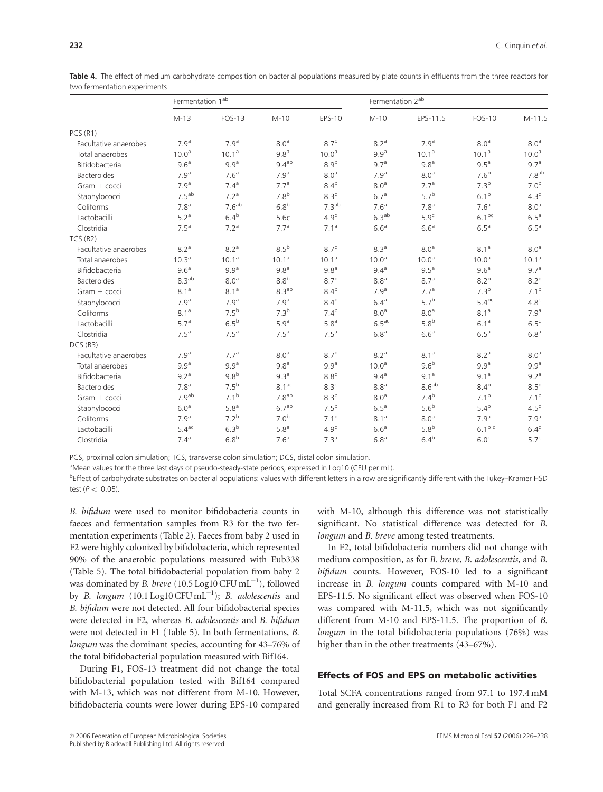|                       | Fermentation 1 <sup>ab</sup> |                   |                   |                   | Fermentation 2 <sup>ab</sup> |                   |                   |                   |
|-----------------------|------------------------------|-------------------|-------------------|-------------------|------------------------------|-------------------|-------------------|-------------------|
|                       | $M-13$                       | <b>FOS-13</b>     | $M-10$            | EPS-10            | $M-10$                       | EPS-11.5          | <b>FOS-10</b>     | $M-11.5$          |
| PCS(R1)               |                              |                   |                   |                   |                              |                   |                   |                   |
| Facultative anaerobes | 7.9 <sup>a</sup>             | 7.9 <sup>a</sup>  | 8.0 <sup>a</sup>  | $8.7^{b}$         | 8.2 <sup>a</sup>             | 7.9 <sup>a</sup>  | 8.0 <sup>a</sup>  | 8.0 <sup>a</sup>  |
| Total anaerobes       | 10.0 <sup>a</sup>            | 10.1 <sup>a</sup> | 9.8 <sup>a</sup>  | 10.0 <sup>a</sup> | 9.9 <sup>a</sup>             | 10.1 <sup>a</sup> | 10.1 <sup>a</sup> | 10.0 <sup>a</sup> |
| Bifidobacteria        | 9.6 <sup>a</sup>             | 9.9 <sup>a</sup>  | 9.4 <sup>ab</sup> | 8.9 <sup>b</sup>  | 9.7 <sup>a</sup>             | 9.8 <sup>a</sup>  | 9.5 <sup>a</sup>  | 9.7 <sup>a</sup>  |
| Bacteroides           | 7.9 <sup>a</sup>             | 7.6 <sup>a</sup>  | 7.9 <sup>a</sup>  | 8.0 <sup>a</sup>  | 7.9 <sup>a</sup>             | 8.0 <sup>a</sup>  | 7.6 <sup>b</sup>  | 7.8 <sup>ab</sup> |
| Gram + cocci          | 7.9 <sup>a</sup>             | 7.4 <sup>a</sup>  | 7.7 <sup>a</sup>  | 8.4 <sup>b</sup>  | 8.0 <sup>a</sup>             | 7.7 <sup>a</sup>  | $7.3^{b}$         | 7.0 <sup>b</sup>  |
| Staphylococci         | 7.5 <sup>ab</sup>            | 7.2 <sup>a</sup>  | 7.8 <sup>b</sup>  | 8.3 <sup>c</sup>  | 6.7 <sup>a</sup>             | 5.7 <sup>b</sup>  | 6.1 <sup>b</sup>  | 4.3 <sup>c</sup>  |
| Coliforms             | 7.8 <sup>a</sup>             | 7.6 <sup>ab</sup> | 6.8 <sup>b</sup>  | 7.3 <sup>ab</sup> | 7.6 <sup>a</sup>             | 7.8 <sup>a</sup>  | 7.6 <sup>a</sup>  | 8.0 <sup>a</sup>  |
| Lactobacilli          | 5.2 <sup>a</sup>             | 6.4 <sup>b</sup>  | 5.6c              | 4.9 <sup>d</sup>  | 6.3 <sup>ab</sup>            | 5.9 <sup>c</sup>  | $6.1^{bc}$        | 6.5 <sup>a</sup>  |
| Clostridia            | 7.5 <sup>a</sup>             | 7.2 <sup>a</sup>  | 7.7 <sup>a</sup>  | 7.1 <sup>a</sup>  | 6.6 <sup>a</sup>             | 6.6 <sup>a</sup>  | 6.5 <sup>a</sup>  | 6.5 <sup>a</sup>  |
| TCS(R2)               |                              |                   |                   |                   |                              |                   |                   |                   |
| Facultative anaerobes | 8.2 <sup>a</sup>             | 8.2 <sup>a</sup>  | 8.5 <sup>b</sup>  | 8.7 <sup>c</sup>  | 8.3 <sup>a</sup>             | 8.0 <sup>a</sup>  | 8.1 <sup>a</sup>  | 8.0 <sup>a</sup>  |
| Total anaerobes       | 10.3 <sup>a</sup>            | 10.1 <sup>a</sup> | 10.1 <sup>a</sup> | 10.1 <sup>a</sup> | 10.0 <sup>a</sup>            | 10.0 <sup>a</sup> | 10.0 <sup>a</sup> | 10.1 <sup>a</sup> |
| Bifidobacteria        | 9.6 <sup>a</sup>             | 9.9 <sup>a</sup>  | 9.8 <sup>a</sup>  | 9.8 <sup>a</sup>  | 9.4 <sup>a</sup>             | 9.5 <sup>a</sup>  | 9.6 <sup>a</sup>  | 9.7 <sup>a</sup>  |
| Bacteroides           | 8.3 <sup>ab</sup>            | 8.0 <sup>a</sup>  | 8.8 <sup>b</sup>  | $8.7^{b}$         | 8.8 <sup>a</sup>             | 8.7 <sup>a</sup>  | 8.2 <sup>b</sup>  | 8.2 <sup>b</sup>  |
| Gram + cocci          | 8.1 <sup>a</sup>             | 8.1 <sup>a</sup>  | 8.3 <sup>ab</sup> | 8.4 <sup>b</sup>  | 7.9 <sup>a</sup>             | 7.7 <sup>a</sup>  | $7.3^{b}$         | $7.1^{b}$         |
| Staphylococci         | 7.9 <sup>a</sup>             | 7.9 <sup>a</sup>  | 7.9 <sup>a</sup>  | $8.4^{b}$         | 6.4 <sup>a</sup>             | $5.7^{b}$         | $5.4^{bc}$        | 4.8 <sup>c</sup>  |
| Coliforms             | $8.1^{\text{a}}$             | 7.5 <sup>b</sup>  | 7.3 <sup>b</sup>  | 7.4 <sup>b</sup>  | 8.0 <sup>a</sup>             | 8.0 <sup>a</sup>  | 8.1 <sup>a</sup>  | 7.9 <sup>a</sup>  |
| Lactobacilli          | 5.7 <sup>a</sup>             | $6.5^b$           | 5.9 <sup>a</sup>  | 5.8 <sup>a</sup>  | 6.5 <sup>ac</sup>            | 5.8 <sup>b</sup>  | 6.1 <sup>a</sup>  | 6.5 <sup>c</sup>  |
| Clostridia            | 7.5 <sup>a</sup>             | 7.5 <sup>a</sup>  | 7.5 <sup>a</sup>  | 7.5 <sup>a</sup>  | 6.8 <sup>a</sup>             | 6.6 <sup>a</sup>  | 6.5 <sup>a</sup>  | 6.8 <sup>a</sup>  |
| DCS(R3)               |                              |                   |                   |                   |                              |                   |                   |                   |
| Facultative anaerobes | 7.9 <sup>a</sup>             | 7.7 <sup>a</sup>  | 8.0 <sup>a</sup>  | $8.7^{b}$         | 8.2 <sup>a</sup>             | 8.1 <sup>a</sup>  | 8.2 <sup>a</sup>  | 8.0 <sup>a</sup>  |
| Total anaerobes       | 9.9 <sup>a</sup>             | 9.9 <sup>a</sup>  | 9.8 <sup>a</sup>  | 9.9 <sup>a</sup>  | 10.0 <sup>a</sup>            | 9.6 <sup>b</sup>  | 9.9 <sup>a</sup>  | 9.9 <sup>a</sup>  |
| Bifidobacteria        | 9.2 <sup>a</sup>             | 9.8 <sup>b</sup>  | 9.3 <sup>a</sup>  | 8.8 <sup>c</sup>  | 9.4 <sup>a</sup>             | 9.1 <sup>a</sup>  | 9.1 <sup>a</sup>  | 9.2 <sup>a</sup>  |
| Bacteroides           | 7.8 <sup>a</sup>             | 7.5 <sup>b</sup>  | 8.1 <sup>ac</sup> | 8.3 <sup>c</sup>  | 8.8 <sup>a</sup>             | 8.6 <sup>ab</sup> | $8.4^{b}$         | 8.5 <sup>b</sup>  |
| $Gram + cocci$        | 7.9 <sup>ab</sup>            | 7.1 <sup>b</sup>  | 7.8 <sup>ab</sup> | 8.3 <sup>b</sup>  | 8.0 <sup>a</sup>             | 7.4 <sup>b</sup>  | 7.1 <sup>b</sup>  | $7.1^{b}$         |
| Staphylococci         | 6.0 <sup>a</sup>             | 5.8 <sup>a</sup>  | 6.7 <sup>ab</sup> | 7.5 <sup>b</sup>  | 6.5 <sup>a</sup>             | 5.6 <sup>b</sup>  | 5.4 <sup>b</sup>  | 4.5 <sup>c</sup>  |
| Coliforms             | 7.9 <sup>a</sup>             | 7.2 <sup>b</sup>  | 7.0 <sup>b</sup>  | $7.1^{b}$         | $8.1^{\text{a}}$             | 8.0 <sup>a</sup>  | 7.9 <sup>a</sup>  | 7.9 <sup>a</sup>  |
| Lactobacilli          | $5.4$ <sup>ac</sup>          | 6.3 <sup>b</sup>  | 5.8 <sup>a</sup>  | 4.9 <sup>c</sup>  | 6.6 <sup>a</sup>             | 5.8 <sup>b</sup>  | $6.1^{b c}$       | 6.4 <sup>c</sup>  |
| Clostridia            | 7.4 <sup>a</sup>             | 6.8 <sup>b</sup>  | 7.6 <sup>a</sup>  | 7.3 <sup>a</sup>  | 6.8 <sup>a</sup>             | 6.4 <sup>b</sup>  | 6.0 <sup>c</sup>  | 5.7 <sup>c</sup>  |

Table 4. The effect of medium carbohydrate composition on bacterial populations measured by plate counts in effluents from the three reactors for two fermentation experiments

PCS, proximal colon simulation; TCS, transverse colon simulation; DCS, distal colon simulation.

<sup>a</sup>Mean values for the three last days of pseudo-steady-state periods, expressed in Log10 (CFU per mL).

bEffect of carbohydrate substrates on bacterial populations: values with different letters in a row are significantly different with the Tukey–Kramer HSD test ( $P < 0.05$ ).

B. bifidum were used to monitor bifidobacteria counts in faeces and fermentation samples from R3 for the two fermentation experiments (Table 2). Faeces from baby 2 used in F2 were highly colonized by bifidobacteria, which represented 90% of the anaerobic populations measured with Eub338 (Table 5). The total bifidobacterial population from baby 2 was dominated by *B. breve* (10.5 Log10  $CFU$   $mL^{-1}$ ), followed by *B. longum*  $(10.1 \text{Log}10 \text{ CFU} \text{ mL}^{-1})$ ; *B. adolescentis* and B. bifidum were not detected. All four bifidobacterial species were detected in F2, whereas B. adolescentis and B. bifidum were not detected in F1 (Table 5). In both fermentations, B. longum was the dominant species, accounting for 43–76% of the total bifidobacterial population measured with Bif164.

During F1, FOS-13 treatment did not change the total bifidobacterial population tested with Bif164 compared with M-13, which was not different from M-10. However, bifidobacteria counts were lower during EPS-10 compared

with M-10, although this difference was not statistically significant. No statistical difference was detected for B. longum and B. breve among tested treatments.

In F2, total bifidobacteria numbers did not change with medium composition, as for B. breve, B. adolescentis, and B. bifidum counts. However, FOS-10 led to a significant increase in B. longum counts compared with M-10 and EPS-11.5. No significant effect was observed when FOS-10 was compared with M-11.5, which was not significantly different from M-10 and EPS-11.5. The proportion of B. longum in the total bifidobacteria populations (76%) was higher than in the other treatments (43–67%).

## Effects of FOS and EPS on metabolic activities

Total SCFA concentrations ranged from 97.1 to 197.4 mM and generally increased from R1 to R3 for both F1 and F2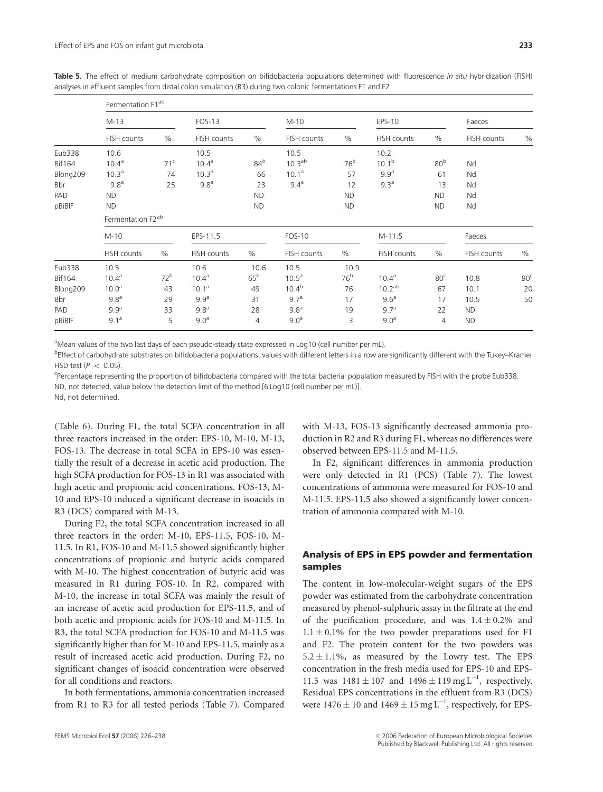Table 5. The effect of medium carbohydrate composition on bifidobacteria populations determined with fluorescence in situ hybridization (FISH) analyses in effluent samples from distal colon simulation (R3) during two colonic fermentations F1 and F2

|               | Fermentation F1 <sup>ab</sup> |                 |                   |                 |                    |                 |                    |                 |             |                 |  |  |  |
|---------------|-------------------------------|-----------------|-------------------|-----------------|--------------------|-----------------|--------------------|-----------------|-------------|-----------------|--|--|--|
|               | $M-13$                        |                 | <b>FOS-13</b>     |                 | M-10               |                 | EPS-10             |                 | Faeces      |                 |  |  |  |
|               | FISH counts                   | $\%$            | FISH counts       | $\%$            | FISH counts        | $\%$            | FISH counts        | %               | FISH counts | $\%$            |  |  |  |
| Eub338        | 10.6                          |                 | 10.5              |                 | 10.5               |                 | 10.2               |                 |             |                 |  |  |  |
| <b>Bif164</b> | $10.4^{\text{a}}$             | 71 <sup>c</sup> | 10.4 <sup>a</sup> | 84 <sup>b</sup> | 10.3 <sup>ab</sup> | 76 <sup>b</sup> | $10.1^{b}$         | 80 <sup>b</sup> | Nd          |                 |  |  |  |
| Blong209      | 10.3 <sup>a</sup>             | 74              | 10.3 <sup>a</sup> | 66              | 10.1 <sup>a</sup>  | 57              | 9.9 <sup>a</sup>   | 61              | Nd          |                 |  |  |  |
| Bbr           | 9.8 <sup>a</sup>              | 25              | 9.8 <sup>a</sup>  | 23              | 9.4 <sup>a</sup>   | 12              | 9.3 <sup>a</sup>   | 13              | Nd          |                 |  |  |  |
| PAD           | <b>ND</b>                     |                 |                   | <b>ND</b>       |                    | <b>ND</b>       |                    | <b>ND</b>       | Nd          |                 |  |  |  |
| pBiBIF        | <b>ND</b>                     |                 |                   | <b>ND</b>       |                    | <b>ND</b>       |                    | <b>ND</b>       | Nd          |                 |  |  |  |
|               | Fermentation F2 <sup>ab</sup> |                 |                   |                 |                    |                 |                    |                 |             |                 |  |  |  |
|               | $M-10$                        |                 | EPS-11.5          |                 | FOS-10             |                 | $M-11.5$           |                 | Faeces      |                 |  |  |  |
|               | FISH counts                   | $\frac{0}{0}$   | FISH counts       | $\%$            | FISH counts        | $\%$            | FISH counts        | $\%$            | FISH counts | $\%$            |  |  |  |
| Eub338        | 10.5                          |                 | 10.6              | 10.6            | 10.5               | 10.9            |                    |                 |             |                 |  |  |  |
| <b>Bif164</b> | 10.4 <sup>a</sup>             | 72 <sup>b</sup> | 10.4 <sup>a</sup> | 65 <sup>b</sup> | $10.5^{\text{a}}$  | 76 <sup>b</sup> | $10.4^{\text{a}}$  | 80 <sup>c</sup> | 10.8        | 90 <sup>c</sup> |  |  |  |
| Blong209      | 10.0 <sup>a</sup>             | 43              | 10.1 <sup>a</sup> | 49              | $10.4^{b}$         | 76              | 10.2 <sup>ab</sup> | 67              | 10.1        | 20              |  |  |  |
| Bbr           | 9.8 <sup>a</sup>              | 29              | 9.9 <sup>a</sup>  | 31              | 9.7 <sup>a</sup>   | 17              | 9.6 <sup>a</sup>   | 17              | 10.5        | 50              |  |  |  |
| PAD           | 9.9 <sup>a</sup>              | 33              | 9.8 <sup>a</sup>  | 28              | 9.8 <sup>a</sup>   | 19              | 9.7 <sup>a</sup>   | 22              | <b>ND</b>   |                 |  |  |  |
| pBiBIF        | 9.1 <sup>a</sup>              | 5               | 9.0 <sup>a</sup>  | $\overline{4}$  | 9.0 <sup>a</sup>   | 3               | 9.0 <sup>a</sup>   | 4               | <b>ND</b>   |                 |  |  |  |

<sup>a</sup>Mean values of the two last days of each pseudo-steady state expressed in Log10 (cell number per mL).

b Effect of carbohydrate substrates on bifidobacteria populations: values with different letters in a row are significantly different with the Tukey–Kramer HSD test  $(P < 0.05)$ .

<sup>c</sup>Percentage representing the proportion of bifidobacteria compared with the total bacterial population measured by FISH with the probe Eub338.

ND, not detected, value below the detection limit of the method [6 Log10 (cell number per mL)].

Nd, not determined.

(Table 6). During F1, the total SCFA concentration in all three reactors increased in the order: EPS-10, M-10, M-13, FOS-13. The decrease in total SCFA in EPS-10 was essentially the result of a decrease in acetic acid production. The high SCFA production for FOS-13 in R1 was associated with high acetic and propionic acid concentrations. FOS-13, M-10 and EPS-10 induced a significant decrease in isoacids in R3 (DCS) compared with M-13.

During F2, the total SCFA concentration increased in all three reactors in the order: M-10, EPS-11.5, FOS-10, M-11.5. In R1, FOS-10 and M-11.5 showed significantly higher concentrations of propionic and butyric acids compared with M-10. The highest concentration of butyric acid was measured in R1 during FOS-10. In R2, compared with M-10, the increase in total SCFA was mainly the result of an increase of acetic acid production for EPS-11.5, and of both acetic and propionic acids for FOS-10 and M-11.5. In R3, the total SCFA production for FOS-10 and M-11.5 was significantly higher than for M-10 and EPS-11.5, mainly as a result of increased acetic acid production. During F2, no significant changes of isoacid concentration were observed for all conditions and reactors.

In both fermentations, ammonia concentration increased from R1 to R3 for all tested periods (Table 7). Compared

with M-13, FOS-13 significantly decreased ammonia production in R2 and R3 during F1, whereas no differences were observed between EPS-11.5 and M-11.5.

In F2, significant differences in ammonia production were only detected in R1 (PCS) (Table 7). The lowest concentrations of ammonia were measured for FOS-10 and M-11.5. EPS-11.5 also showed a significantly lower concentration of ammonia compared with M-10.

# Analysis of EPS in EPS powder and fermentation samples

The content in low-molecular-weight sugars of the EPS powder was estimated from the carbohydrate concentration measured by phenol-sulphuric assay in the filtrate at the end of the purification procedure, and was  $1.4 \pm 0.2\%$  and  $1.1 \pm 0.1\%$  for the two powder preparations used for F1 and F2. The protein content for the two powders was  $5.2 \pm 1.1$ %, as measured by the Lowry test. The EPS concentration in the fresh media used for EPS-10 and EPS-11.5 was  $1481 \pm 107$  and  $1496 \pm 119$  mg L<sup>-1</sup>, respectively. Residual EPS concentrations in the effluent from R3 (DCS) were  $1476 \pm 10$  and  $1469 \pm 15$  mg  $L^{-1}$ , respectively, for EPS-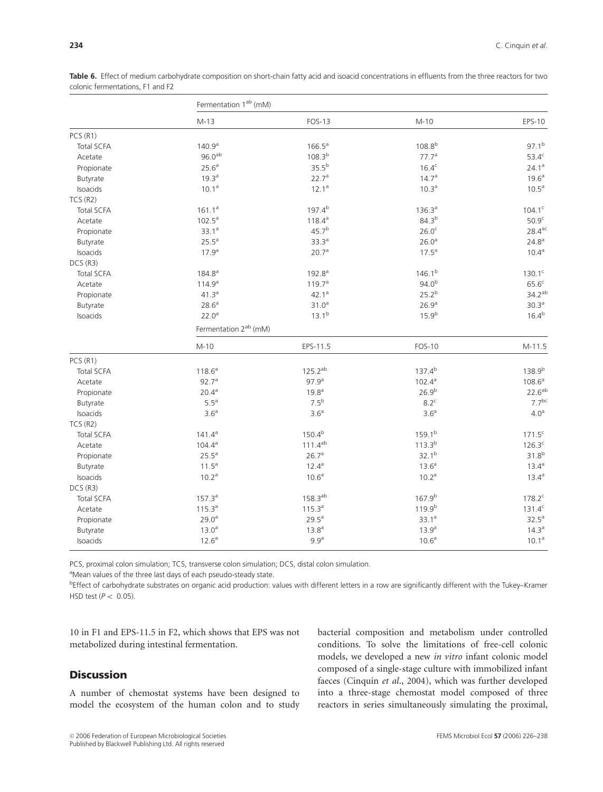|                   | Fermentation 1 <sup>ab</sup> (mM) |                    |                    |                    |  |  |  |  |  |
|-------------------|-----------------------------------|--------------------|--------------------|--------------------|--|--|--|--|--|
|                   | $M-13$                            | <b>FOS-13</b>      | $M-10$             | EPS-10             |  |  |  |  |  |
| PCS(R1)           |                                   |                    |                    |                    |  |  |  |  |  |
| <b>Total SCFA</b> | 140.9 <sup>a</sup>                | $166.5^a$          | $108.8^{b}$        | $97.1^{b}$         |  |  |  |  |  |
| Acetate           | $96.0^{ab}$                       | 108.3 <sup>b</sup> | 77.7 <sup>a</sup>  | 53.4 <sup>c</sup>  |  |  |  |  |  |
| Propionate        | 25.6 <sup>a</sup>                 | $35.5^{b}$         | $16.4^c$           | 24.1 <sup>a</sup>  |  |  |  |  |  |
| Butyrate          | 19.3 <sup>a</sup>                 | 22.7a              | 14.7 <sup>a</sup>  | 19.6 <sup>a</sup>  |  |  |  |  |  |
| Isoacids          | $10.1^a$                          | $12.1^a$           | 10.3 <sup>a</sup>  | 10.5 <sup>a</sup>  |  |  |  |  |  |
| TCS(R2)           |                                   |                    |                    |                    |  |  |  |  |  |
| <b>Total SCFA</b> | 161.1 <sup>a</sup>                | $197.4^{b}$        | 136.3 <sup>a</sup> | $104.1^c$          |  |  |  |  |  |
| Acetate           | $102.5^{\text{a}}$                | $118.4^{\rm a}$    | $84.3^{b}$         | 50.9 <sup>c</sup>  |  |  |  |  |  |
| Propionate        | 33.1 <sup>a</sup>                 | 45.7 <sup>b</sup>  | 26.0 <sup>c</sup>  | $28.4^{\text{ac}}$ |  |  |  |  |  |
| Butyrate          | $25.5^{\text{a}}$                 | 33.3 <sup>a</sup>  | 26.0 <sup>a</sup>  | 24.8 <sup>a</sup>  |  |  |  |  |  |
| Isoacids          | 17.9 <sup>a</sup>                 | 20.7 <sup>a</sup>  | $17.5^{\text{a}}$  | $10.4^{\rm a}$     |  |  |  |  |  |
| DCS (R3)          |                                   |                    |                    |                    |  |  |  |  |  |
| <b>Total SCFA</b> | 184.8 <sup>a</sup>                | 192.8 <sup>a</sup> | 146.1 <sup>b</sup> | $130.1^c$          |  |  |  |  |  |
| Acetate           | 114.9 <sup>a</sup>                | 119.7 <sup>a</sup> | 94.0 <sup>b</sup>  | 65.6 <sup>c</sup>  |  |  |  |  |  |
| Propionate        | 41.3 <sup>a</sup>                 | $42.1^a$           | $25.2^{b}$         | $34.2^{ab}$        |  |  |  |  |  |
| Butyrate          | 28.6 <sup>a</sup>                 | 31.0 <sup>a</sup>  | 26.9 <sup>a</sup>  | 30.3 <sup>a</sup>  |  |  |  |  |  |
| Isoacids          | 22.0 <sup>a</sup>                 | $13.1^{b}$         | $15.9^{b}$         | $16.4^{b}$         |  |  |  |  |  |
|                   | Fermentation 2 <sup>ab</sup> (mM) |                    |                    |                    |  |  |  |  |  |
|                   | $M-10$                            | EPS-11.5           | <b>FOS-10</b>      | $M-11.5$           |  |  |  |  |  |
| PCS (R1)          |                                   |                    |                    |                    |  |  |  |  |  |
| <b>Total SCFA</b> | 118.6 <sup>a</sup>                | $125.2^{ab}$       | $137.4^{b}$        | 138.9b             |  |  |  |  |  |
| Acetate           | 92.7 <sup>a</sup>                 | 97.9 <sup>a</sup>  | $102.4^{\text{a}}$ | $108.6^{\rm a}$    |  |  |  |  |  |
| Propionate        | $20.4^{a}$                        | $19.8^{a}$         | 26.9 <sup>b</sup>  | $22.6^{ab}$        |  |  |  |  |  |
| Butyrate          | $5.5^a$                           | 7.5 <sup>b</sup>   | 8.2 <sup>c</sup>   | 7.7 <sup>bc</sup>  |  |  |  |  |  |
| Isoacids          | 3.6 <sup>a</sup>                  | 3.6 <sup>a</sup>   | 3.6 <sup>a</sup>   | 4.0 <sup>a</sup>   |  |  |  |  |  |
| TCS(R2)           |                                   |                    |                    |                    |  |  |  |  |  |
| <b>Total SCFA</b> | $141.4^a$                         | $150.4^{b}$        | $159.1^{b}$        | $171.5^c$          |  |  |  |  |  |
| Acetate           | $104.4^{\rm a}$                   | $111.4^{ab}$       | $113.3^{b}$        | $126.3^c$          |  |  |  |  |  |
| Propionate        | $25.5^{\circ}$                    | 26.7 <sup>a</sup>  | $32.1^{b}$         | $31.8^{b}$         |  |  |  |  |  |
| Butyrate          | $11.5^a$                          | $12.4^{\rm a}$     | $13.6^a$           | $13.4^{\circ}$     |  |  |  |  |  |
| Isoacids          | 10.2 <sup>a</sup>                 | 10.6 <sup>a</sup>  | 10.2 <sup>a</sup>  | $13.4^{a}$         |  |  |  |  |  |
| DCS(R3)           |                                   |                    |                    |                    |  |  |  |  |  |
| <b>Total SCFA</b> | 157.3 <sup>a</sup>                | $158.3^{ab}$       | $167.9^{b}$        | $178.2^c$          |  |  |  |  |  |
| Acetate           | 115.3 <sup>a</sup>                | 115.3 <sup>a</sup> | 119.9 <sup>b</sup> | $131.4^c$          |  |  |  |  |  |
| Propionate        | 29.0 <sup>a</sup>                 | $29.5^{\text{a}}$  | 33.1 <sup>a</sup>  | $32.5^a$           |  |  |  |  |  |
| Butyrate          | 13.0 <sup>a</sup>                 | 13.8 <sup>a</sup>  | 13.9 <sup>a</sup>  | 14.3 <sup>a</sup>  |  |  |  |  |  |
| Isoacids          | $12.6^{\text{a}}$                 | 9.9 <sup>a</sup>   | 10.6 <sup>a</sup>  | $10.1^{\rm a}$     |  |  |  |  |  |

Table 6. Effect of medium carbohydrate composition on short-chain fatty acid and isoacid concentrations in effluents from the three reactors for two colonic fermentations, F1 and F2

PCS, proximal colon simulation; TCS, transverse colon simulation; DCS, distal colon simulation.

<sup>a</sup>Mean values of the three last days of each pseudo-steady state.

bEffect of carbohydrate substrates on organic acid production: values with different letters in a row are significantly different with the Tukey–Kramer HSD test  $(P < 0.05)$ .

10 in F1 and EPS-11.5 in F2, which shows that EPS was not metabolized during intestinal fermentation.

# **Discussion**

A number of chemostat systems have been designed to model the ecosystem of the human colon and to study bacterial composition and metabolism under controlled conditions. To solve the limitations of free-cell colonic models, we developed a new in vitro infant colonic model composed of a single-stage culture with immobilized infant faeces (Cinquin et al., 2004), which was further developed into a three-stage chemostat model composed of three reactors in series simultaneously simulating the proximal,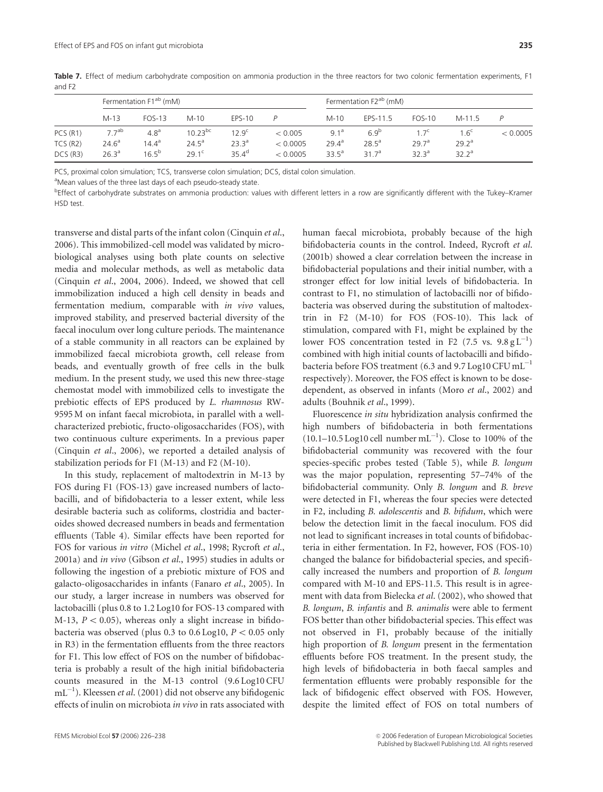|                    | Fermentation F1 <sup>ab</sup> (mM)  |                                  |                                |                                 |                      |                                        | Fermentation F2 <sup>ab</sup> (mM) |                          |                                       |          |
|--------------------|-------------------------------------|----------------------------------|--------------------------------|---------------------------------|----------------------|----------------------------------------|------------------------------------|--------------------------|---------------------------------------|----------|
|                    | $M-13$                              | FOS-13                           | $M-10$                         | $EPS-10$                        |                      | $M-10$                                 | EPS-11.5                           | <b>FOS-10</b>            | $M-11.5$                              |          |
| PCS(R1)            | 77 <sup>ab</sup>                    | 4.8 <sup>a</sup>                 | $10.23^{bc}$<br>$24.5^{\circ}$ | $12.9^{\circ}$                  | < 0.005              | $9.1^a$                                | 6.9 <sup>b</sup><br>$28.5^{\circ}$ | 1.7 <sup>c</sup><br>297a | 1.6 <sup>c</sup><br>29.2 <sup>a</sup> | < 0.0005 |
| TCS(R2)<br>DCS(R3) | $24.6^{\circ}$<br>26.3 <sup>a</sup> | $14.4^{\circ}$<br>$16.5^{\rm b}$ | 29.1 <sup>c</sup>              | 23.3 <sup>a</sup><br>$35.4^{d}$ | < 0.0005<br>< 0.0005 | 29.4 <sup>a</sup><br>33.5 <sup>a</sup> | 31.7 <sup>a</sup>                  | 32.3 <sup>a</sup>        | 32.2 <sup>a</sup>                     |          |

Table 7. Effect of medium carbohydrate composition on ammonia production in the three reactors for two colonic fermentation experiments, F1 and F2

PCS, proximal colon simulation; TCS, transverse colon simulation; DCS, distal colon simulation.

<sup>a</sup>Mean values of the three last days of each pseudo-steady state.

bEffect of carbohydrate substrates on ammonia production: values with different letters in a row are significantly different with the Tukey–Kramer HSD test.

transverse and distal parts of the infant colon (Cinquin et al., 2006). This immobilized-cell model was validated by microbiological analyses using both plate counts on selective media and molecular methods, as well as metabolic data (Cinquin et al., 2004, 2006). Indeed, we showed that cell immobilization induced a high cell density in beads and fermentation medium, comparable with in vivo values, improved stability, and preserved bacterial diversity of the faecal inoculum over long culture periods. The maintenance of a stable community in all reactors can be explained by immobilized faecal microbiota growth, cell release from beads, and eventually growth of free cells in the bulk medium. In the present study, we used this new three-stage chemostat model with immobilized cells to investigate the prebiotic effects of EPS produced by L. rhamnosus RW-9595 M on infant faecal microbiota, in parallel with a wellcharacterized prebiotic, fructo-oligosaccharides (FOS), with two continuous culture experiments. In a previous paper (Cinquin et al., 2006), we reported a detailed analysis of stabilization periods for F1 (M-13) and F2 (M-10).

In this study, replacement of maltodextrin in M-13 by FOS during F1 (FOS-13) gave increased numbers of lactobacilli, and of bifidobacteria to a lesser extent, while less desirable bacteria such as coliforms, clostridia and bacteroides showed decreased numbers in beads and fermentation effluents (Table 4). Similar effects have been reported for FOS for various in vitro (Michel et al., 1998; Rycroft et al., 2001a) and in vivo (Gibson et al., 1995) studies in adults or following the ingestion of a prebiotic mixture of FOS and galacto-oligosaccharides in infants (Fanaro et al., 2005). In our study, a larger increase in numbers was observed for lactobacilli (plus 0.8 to 1.2 Log10 for FOS-13 compared with M-13,  $P < 0.05$ ), whereas only a slight increase in bifidobacteria was observed (plus 0.3 to 0.6 Log10,  $P < 0.05$  only in R3) in the fermentation effluents from the three reactors for F1. This low effect of FOS on the number of bifidobacteria is probably a result of the high initial bifidobacteria counts measured in the M-13 control (9.6 Log10 CFU  $\text{mL}^{-1}$ ). Kleessen *et al*. (2001) did not observe any bifidogenic effects of inulin on microbiota in vivo in rats associated with

human faecal microbiota, probably because of the high bifidobacteria counts in the control. Indeed, Rycroft et al. (2001b) showed a clear correlation between the increase in bifidobacterial populations and their initial number, with a stronger effect for low initial levels of bifidobacteria. In contrast to F1, no stimulation of lactobacilli nor of bifidobacteria was observed during the substitution of maltodextrin in F2 (M-10) for FOS (FOS-10). This lack of stimulation, compared with F1, might be explained by the lower FOS concentration tested in F2 (7.5 vs.  $9.8 \text{ g L}^{-1}$ ) combined with high initial counts of lactobacilli and bifidobacteria before FOS treatment (6.3 and 9.7 Log10 CFU mL<sup>-1</sup> respectively). Moreover, the FOS effect is known to be dosedependent, as observed in infants (Moro et al., 2002) and adults (Bouhnik et al., 1999).

Fluorescence in situ hybridization analysis confirmed the high numbers of bifidobacteria in both fermentations  $(10.1-10.5 \text{ Log}10 \text{ cell }$  number mL<sup>-1</sup>). Close to 100% of the bifidobacterial community was recovered with the four species-specific probes tested (Table 5), while B. longum was the major population, representing 57–74% of the bifidobacterial community. Only B. longum and B. breve were detected in F1, whereas the four species were detected in F2, including B. adolescentis and B. bifidum, which were below the detection limit in the faecal inoculum. FOS did not lead to significant increases in total counts of bifidobacteria in either fermentation. In F2, however, FOS (FOS-10) changed the balance for bifidobacterial species, and specifically increased the numbers and proportion of B. longum compared with M-10 and EPS-11.5. This result is in agreement with data from Bielecka et al. (2002), who showed that B. longum, B. infantis and B. animalis were able to ferment FOS better than other bifidobacterial species. This effect was not observed in F1, probably because of the initially high proportion of B. longum present in the fermentation effluents before FOS treatment. In the present study, the high levels of bifidobacteria in both faecal samples and fermentation effluents were probably responsible for the lack of bifidogenic effect observed with FOS. However, despite the limited effect of FOS on total numbers of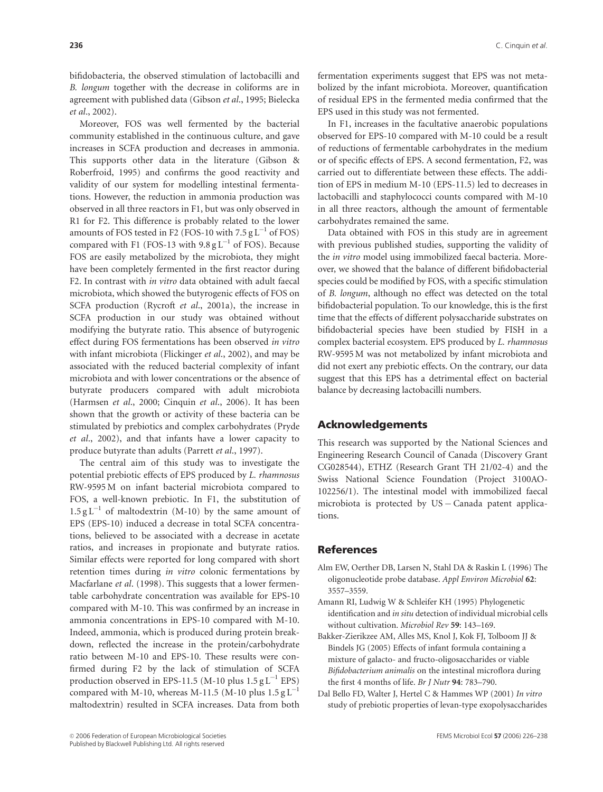bifidobacteria, the observed stimulation of lactobacilli and B. longum together with the decrease in coliforms are in agreement with published data (Gibson et al., 1995; Bielecka et al., 2002).

Moreover, FOS was well fermented by the bacterial community established in the continuous culture, and gave increases in SCFA production and decreases in ammonia. This supports other data in the literature (Gibson & Roberfroid, 1995) and confirms the good reactivity and validity of our system for modelling intestinal fermentations. However, the reduction in ammonia production was observed in all three reactors in F1, but was only observed in R1 for F2. This difference is probably related to the lower amounts of FOS tested in F2 (FOS-10 with  $7.5 \text{ g L}^{-1}$  of FOS) compared with F1 (FOS-13 with  $9.8 \text{ g L}^{-1}$  of FOS). Because FOS are easily metabolized by the microbiota, they might have been completely fermented in the first reactor during F2. In contrast with in vitro data obtained with adult faecal microbiota, which showed the butyrogenic effects of FOS on SCFA production (Rycroft et al., 2001a), the increase in SCFA production in our study was obtained without modifying the butyrate ratio. This absence of butyrogenic effect during FOS fermentations has been observed in vitro with infant microbiota (Flickinger et al., 2002), and may be associated with the reduced bacterial complexity of infant microbiota and with lower concentrations or the absence of butyrate producers compared with adult microbiota (Harmsen et al., 2000; Cinquin et al., 2006). It has been shown that the growth or activity of these bacteria can be stimulated by prebiotics and complex carbohydrates (Pryde et al., 2002), and that infants have a lower capacity to produce butyrate than adults (Parrett et al., 1997).

The central aim of this study was to investigate the potential prebiotic effects of EPS produced by L. rhamnosus RW-9595 M on infant bacterial microbiota compared to FOS, a well-known prebiotic. In F1, the substitution of  $1.5 g L^{-1}$  of maltodextrin (M-10) by the same amount of EPS (EPS-10) induced a decrease in total SCFA concentrations, believed to be associated with a decrease in acetate ratios, and increases in propionate and butyrate ratios. Similar effects were reported for long compared with short retention times during in vitro colonic fermentations by Macfarlane et al. (1998). This suggests that a lower fermentable carbohydrate concentration was available for EPS-10 compared with M-10. This was confirmed by an increase in ammonia concentrations in EPS-10 compared with M-10. Indeed, ammonia, which is produced during protein breakdown, reflected the increase in the protein/carbohydrate ratio between M-10 and EPS-10. These results were confirmed during F2 by the lack of stimulation of SCFA production observed in EPS-11.5 (M-10 plus  $1.5 \text{ g L}^{-1}$  EPS) compared with M-10, whereas M-11.5 (M-10 plus  $1.5 \text{ g L}^{-1}$ maltodextrin) resulted in SCFA increases. Data from both

fermentation experiments suggest that EPS was not metabolized by the infant microbiota. Moreover, quantification of residual EPS in the fermented media confirmed that the EPS used in this study was not fermented.

In F1, increases in the facultative anaerobic populations observed for EPS-10 compared with M-10 could be a result of reductions of fermentable carbohydrates in the medium or of specific effects of EPS. A second fermentation, F2, was carried out to differentiate between these effects. The addition of EPS in medium M-10 (EPS-11.5) led to decreases in lactobacilli and staphylococci counts compared with M-10 in all three reactors, although the amount of fermentable carbohydrates remained the same.

Data obtained with FOS in this study are in agreement with previous published studies, supporting the validity of the in vitro model using immobilized faecal bacteria. Moreover, we showed that the balance of different bifidobacterial species could be modified by FOS, with a specific stimulation of B. longum, although no effect was detected on the total bifidobacterial population. To our knowledge, this is the first time that the effects of different polysaccharide substrates on bifidobacterial species have been studied by FISH in a complex bacterial ecosystem. EPS produced by L. rhamnosus RW-9595 M was not metabolized by infant microbiota and did not exert any prebiotic effects. On the contrary, our data suggest that this EPS has a detrimental effect on bacterial balance by decreasing lactobacilli numbers.

## Acknowledgements

This research was supported by the National Sciences and Engineering Research Council of Canada (Discovery Grant CG028544), ETHZ (Research Grant TH 21/02-4) and the Swiss National Science Foundation (Project 3100AO-102256/1). The intestinal model with immobilized faecal microbiota is protected by  $US - Canada$  patent applications.

## **References**

- Alm EW, Oerther DB, Larsen N, Stahl DA & Raskin L (1996) The oligonucleotide probe database. Appl Environ Microbiol 62: 3557–3559.
- Amann RI, Ludwig W & Schleifer KH (1995) Phylogenetic identification and in situ detection of individual microbial cells without cultivation. Microbiol Rev 59: 143–169.
- Bakker-Zierikzee AM, Alles MS, Knol J, Kok FJ, Tolboom JJ & Bindels JG (2005) Effects of infant formula containing a mixture of galacto- and fructo-oligosaccharides or viable Bifidobacterium animalis on the intestinal microflora during the first 4 months of life. Br J Nutr 94: 783–790.
- Dal Bello FD, Walter J, Hertel C & Hammes WP (2001) In vitro study of prebiotic properties of levan-type exopolysaccharides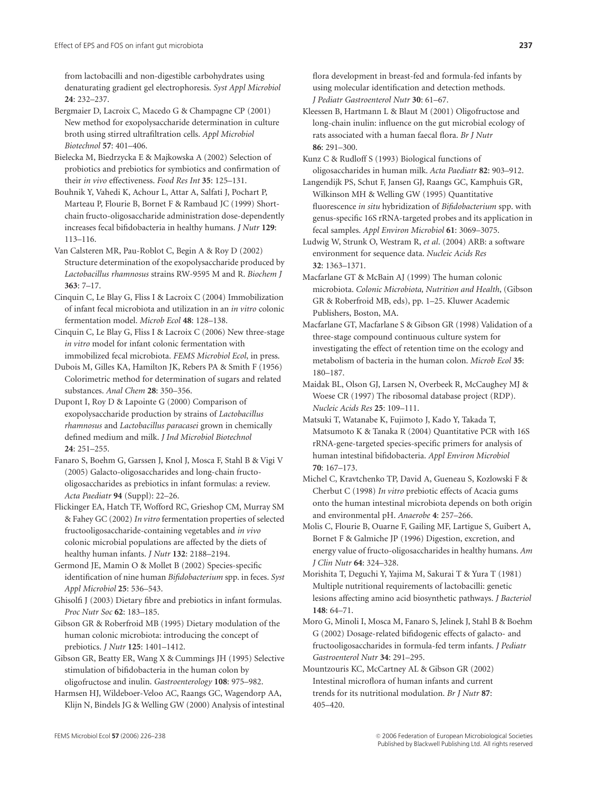from lactobacilli and non-digestible carbohydrates using denaturating gradient gel electrophoresis. Syst Appl Microbiol 24: 232–237.

Bergmaier D, Lacroix C, Macedo G & Champagne CP (2001) New method for exopolysaccharide determination in culture broth using stirred ultrafiltration cells. Appl Microbiol Biotechnol 57: 401–406.

Bielecka M, Biedrzycka E & Majkowska A (2002) Selection of probiotics and prebiotics for symbiotics and confirmation of their in vivo effectiveness. Food Res Int 35: 125–131.

Bouhnik Y, Vahedi K, Achour L, Attar A, Salfati J, Pochart P, Marteau P, Flourie B, Bornet F & Rambaud JC (1999) Shortchain fructo-oligosaccharide administration dose-dependently increases fecal bifidobacteria in healthy humans. J Nutr 129: 113–116.

Van Calsteren MR, Pau-Roblot C, Begin A & Roy D (2002) Structure determination of the exopolysaccharide produced by Lactobacillus rhamnosus strains RW-9595 M and R. Biochem J 363: 7–17.

Cinquin C, Le Blay G, Fliss I & Lacroix C (2004) Immobilization of infant fecal microbiota and utilization in an in vitro colonic fermentation model. Microb Ecol 48: 128–138.

Cinquin C, Le Blay G, Fliss I & Lacroix C (2006) New three-stage in vitro model for infant colonic fermentation with immobilized fecal microbiota. FEMS Microbiol Ecol, in press.

Dubois M, Gilles KA, Hamilton JK, Rebers PA & Smith F (1956) Colorimetric method for determination of sugars and related substances. Anal Chem 28: 350–356.

Dupont I, Roy D & Lapointe G (2000) Comparison of exopolysaccharide production by strains of Lactobacillus rhamnosus and Lactobacillus paracasei grown in chemically defined medium and milk. J Ind Microbiol Biotechnol 24: 251–255.

Fanaro S, Boehm G, Garssen J, Knol J, Mosca F, Stahl B & Vigi V (2005) Galacto-oligosaccharides and long-chain fructooligosaccharides as prebiotics in infant formulas: a review. Acta Paediatr 94 (Suppl): 22–26.

Flickinger EA, Hatch TF, Wofford RC, Grieshop CM, Murray SM & Fahey GC (2002) In vitro fermentation properties of selected fructooligosaccharide-containing vegetables and in vivo colonic microbial populations are affected by the diets of healthy human infants. J Nutr 132: 2188–2194.

Germond JE, Mamin O & Mollet B (2002) Species-specific identification of nine human Bifidobacterium spp. in feces. Syst Appl Microbiol 25: 536–543.

Ghisolfi J (2003) Dietary fibre and prebiotics in infant formulas. Proc Nutr Soc 62: 183–185.

Gibson GR & Roberfroid MB (1995) Dietary modulation of the human colonic microbiota: introducing the concept of prebiotics. J Nutr 125: 1401–1412.

Gibson GR, Beatty ER, Wang X & Cummings JH (1995) Selective stimulation of bifidobacteria in the human colon by oligofructose and inulin. Gastroenterology 108: 975–982.

Harmsen HJ, Wildeboer-Veloo AC, Raangs GC, Wagendorp AA, Klijn N, Bindels JG & Welling GW (2000) Analysis of intestinal flora development in breast-fed and formula-fed infants by using molecular identification and detection methods. J Pediatr Gastroenterol Nutr 30: 61–67.

Kleessen B, Hartmann L & Blaut M (2001) Oligofructose and long-chain inulin: influence on the gut microbial ecology of rats associated with a human faecal flora. Br J Nutr 86: 291–300.

Kunz C & Rudloff S (1993) Biological functions of oligosaccharides in human milk. Acta Paediatr 82: 903–912.

Langendijk PS, Schut F, Jansen GJ, Raangs GC, Kamphuis GR, Wilkinson MH & Welling GW (1995) Quantitative fluorescence in situ hybridization of Bifidobacterium spp. with genus-specific 16S rRNA-targeted probes and its application in fecal samples. Appl Environ Microbiol 61: 3069–3075.

Ludwig W, Strunk O, Westram R, et al. (2004) ARB: a software environment for sequence data. Nucleic Acids Res 32: 1363–1371.

Macfarlane GT & McBain AJ (1999) The human colonic microbiota. Colonic Microbiota, Nutrition and Health, (Gibson GR & Roberfroid MB, eds), pp. 1–25. Kluwer Academic Publishers, Boston, MA.

Macfarlane GT, Macfarlane S & Gibson GR (1998) Validation of a three-stage compound continuous culture system for investigating the effect of retention time on the ecology and metabolism of bacteria in the human colon. Microb Ecol 35: 180–187.

Maidak BL, Olson GJ, Larsen N, Overbeek R, McCaughey MJ & Woese CR (1997) The ribosomal database project (RDP). Nucleic Acids Res 25: 109–111.

Matsuki T, Watanabe K, Fujimoto J, Kado Y, Takada T, Matsumoto K & Tanaka R (2004) Quantitative PCR with 16S rRNA-gene-targeted species-specific primers for analysis of human intestinal bifidobacteria. Appl Environ Microbiol 70: 167–173.

Michel C, Kravtchenko TP, David A, Gueneau S, Kozlowski F & Cherbut C (1998) In vitro prebiotic effects of Acacia gums onto the human intestinal microbiota depends on both origin and environmental pH. Anaerobe 4: 257–266.

Molis C, Flourie B, Ouarne F, Gailing MF, Lartigue S, Guibert A, Bornet F & Galmiche JP (1996) Digestion, excretion, and energy value of fructo-oligosaccharides in healthy humans. Am J Clin Nutr 64: 324–328.

Morishita T, Deguchi Y, Yajima M, Sakurai T & Yura T (1981) Multiple nutritional requirements of lactobacilli: genetic lesions affecting amino acid biosynthetic pathways. J Bacteriol 148: 64–71.

Moro G, Minoli I, Mosca M, Fanaro S, Jelinek J, Stahl B & Boehm G (2002) Dosage-related bifidogenic effects of galacto- and fructooligosaccharides in formula-fed term infants. J Pediatr Gastroenterol Nutr 34: 291–295.

Mountzouris KC, McCartney AL & Gibson GR (2002) Intestinal microflora of human infants and current trends for its nutritional modulation. Br J Nutr 87: 405–420.